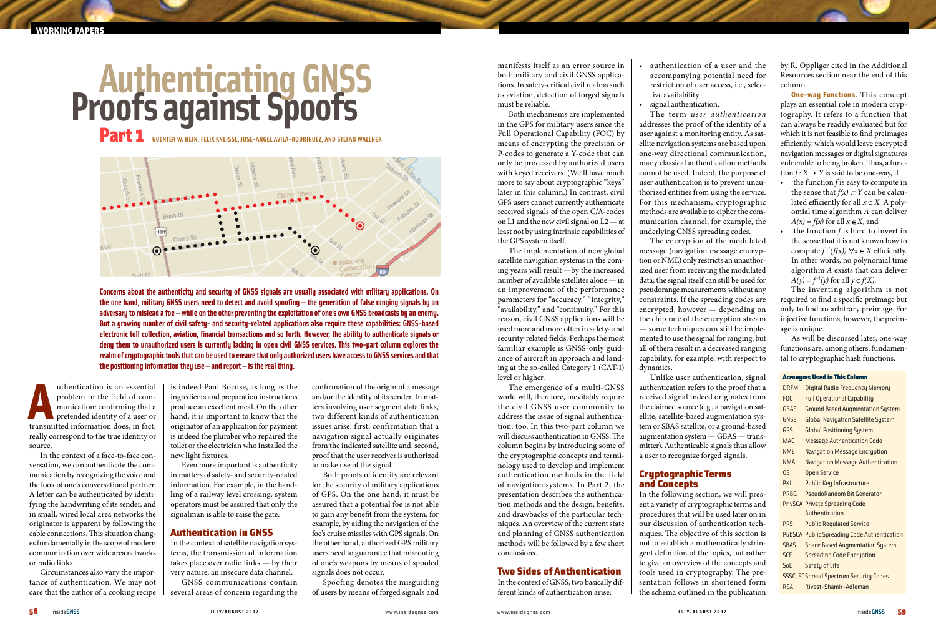uthentication is an essential<br>problem in the field of com-<br>munication: confirming that a<br>pretended identity of a user or<br>transmitted information does, in fact, uthentication is an essential problem in the field of communication: confirming that a pretended identity of a user or really correspond to the true identity or source.

In the context of a face-to-face conversation, we can authenticate the communication by recognizing the voice and the look of one's conversational partner. A letter can be authenticated by identifying the handwriting of its sender, and in small, wired local area networks the originator is apparent by following the cable connections. This situation changes fundamentally in the scope of modern communication over wide area networks or radio links.

Circumstances also vary the importance of authentication. We may not care that the author of a cooking recipe is indeed Paul Bocuse, as long as the ingredients and preparation instructions produce an excellent meal. On the other hand, it is important to know that the originator of an application for payment is indeed the plumber who repaired the toilet or the electrician who installed the new light fixtures.

Even more important is authenticity in matters of safety- and security-related information. For example, in the handling of a railway level crossing, system operators must be assured that only the signalman is able to raise the gate.

# Authentication in GNSS

In the context of satellite navigation systems, the transmission of information takes place over radio links — by their very nature, an insecure data channel.

GNSS communications contain several areas of concern regarding the

confirmation of the origin of a message and/or the identity of its sender. In matters involving user segment data links, two different kinds of authentication issues arise: first, confirmation that a navigation signal actually originates from the indicated satellite and, second, proof that the user receiver is authorized to make use of the signal.

Both proofs of identity are relevant for the security of military applications of GPS. On the one hand, it must be assured that a potential foe is not able to gain any benefit from the system, for example, by aiding the navigation of the foe's cruise missiles with GPS signals. On the other hand, authorized GPS military users need to guarantee that misrouting of one's weapons by means of spoofed signals does not occur.

- authentication of a user and the accompanying potential need for restriction of user access, i.e., selective availability
- • signal authentication.

Spoofing denotes the misguiding of users by means of forged signals and

manifests itself as an error source in both military and civil GNSS applications. In safety-critical civil realms such as aviation, detection of forged signals must be reliable.

Both mechanisms are implemented in the GPS for military users since the Full Operational Capability (FOC) by means of encrypting the precision or P-codes to generate a Y-code that can only be processed by authorized users with keyed receivers. (We'll have much more to say about cryptographic "keys" later in this column.) In contrast, civil GPS users cannot currently authenticate received signals of the open C/A-codes on L1 and the new civil signal on L2 — at least not by using intrinsic capabilities of the GPS system itself.

- • the function *f* is easy to compute in the sense that  $f(x) \in Y$  can be calculated efficiently for all  $x \in X$ . A polyomial time algorithm *A* can deliver  $A(x) = f(x)$  for all  $x \in X$ , and
- • the function *f* is hard to invert in the sense that it is not known how to compute  $f^{-1}(f(x)) \forall x \in X$  efficiently. In other words, no polynomial time algorithm *A* exists that can deliver  $A(y) = f^{-1}(y)$  for all  $y \in f(X)$ .

The implementation of new global satellite navigation systems in the coming years will result —by the increased number of available satellites alone — in an improvement of the performance parameters for "accuracy," "integrity," "availability," and "continuity." For this reason, civil GNSS applications will be used more and more often in safety- and security-related fields. Perhaps the most familiar example is GNSS-only guidance of aircraft in approach and landing at the so-called Category 1 (CAT-1) level or higher.

The emergence of a multi-GNSS world will, therefore, inevitably require the civil GNSS user community to address the issue of signal authentication, too. In this two-part column we will discuss authentication in GNSS. The column begins by introducing some of the cryptographic concepts and terminology used to develop and implement authentication methods in the field of navigation systems. In Part 2, the presentation describes the authentication methods and the design, benefits, and drawbacks of the particular techniques. An overview of the current state and planning of GNSS authentication methods will be followed by a few short conclusions.

## Two Sides of Authentication

In the context of GNSS, two basically different kinds of authentication arise:

The term *user authentication* addresses the proof of the identity of a user against a monitoring entity. As satellite navigation systems are based upon one-way directional communication, many classical authentication methods cannot be used. Indeed, the purpose of user authentication is to prevent unauthorized entities from using the service. For this mechanism, cryptographic methods are available to cipher the communication channel, for example, the underlying GNSS spreading codes.

The encryption of the modulated message (navigation message encryption or NME) only restricts an unauthorized user from receiving the modulated data; the signal itself can still be used for pseudorange measurements without any constraints. If the spreading codes are encrypted, however — depending on the chip rate of the encryption stream — some techniques can still be implemented to use the signal for ranging, but all of them result in a decreased ranging capability, for example, with respect to dynamics.

Unlike user authentication, signal authentication refers to the proof that a received signal indeed originates from the claimed source (e.g., a navigation satellite, satellite-based augmentation system or SBAS satellite, or a ground-based augmentation system — GBAS — transmitter). Authenticable signals thus allow a user to recognize forged signals.

# Cryptographic Terms and Concepts

In the following section, we will present a variety of cryptographic terms and procedures that will be used later on in our discussion of authentication techniques. The objective of this section is not to establish a mathematically stringent definition of the topics, but rather to give an overview of the concepts and tools used in cryptography. The presentation follows in shortened form the schema outlined in the publication

by R. Oppliger cited in the Additional Resources section near the end of this column.

**One-way Functions.** This concept plays an essential role in modern cryptography. It refers to a function that can always be readily evaluated but for which it is not feasible to find preimages efficiently, which would leave encrypted navigation messages or digital signatures vulnerable to being broken. Thus, a function  $f: X \rightarrow Y$  is said to be one-way, if

The inverting algorithm is not required to find a specific preimage but only to find an arbitrary preimage. For injective functions, however, the preimage is unique.

As will be discussed later, one-way functions are, among others, fundamental to cryptographic hash functions.

# **Proofs against Spoofs**



**Concerns about the authenticity and security of GNSS signals are usually associated with military applications. On the one hand, military GNSS users need to detect and avoid spoofing — the generation of false ranging signals by an adversary to mislead a foe — while on the other preventing the exploitation of one's own GNSS broadcasts by an enemy. But a growing number of civil safety- and security-related applications also require these capabilities: GNSS-based electronic toll collection, aviation, financial transactions and so forth. However, the ability to authenticate signals or deny them to unauthorized users is currently lacking in open civil GNSS services. This two-part column explores the realm of cryptographic tools that can be used to ensure that only authorized users have access to GNSS services and that the positioning information they use — and report — is the real thing.**

## Acronyms Used in This Column

| <b>DRFM</b>      | Digital Radio Frequency Memory                     |
|------------------|----------------------------------------------------|
| F <sub>O</sub> C | <b>Full Operational Capability</b>                 |
| GBAS             | <b>Ground Based Augmentation System</b>            |
| GNSS             | <b>Global Navigation Satellite System</b>          |
| GPS              | <b>Global Positioning System</b>                   |
| <b>MAC</b>       | <b>Message Authentication Code</b>                 |
| <b>NMF</b>       | <b>Navigation Message Encruption</b>               |
| <b>NMA</b>       | <b>Navigation Message Authentication</b>           |
| <b>OS</b>        | <b>Open Service</b>                                |
| PKI              | <b>Public Key Infrastructure</b>                   |
| <b>PRBG</b>      | PseudoRandom Bit Generator                         |
|                  | <b>PrivSCA Private Spreading Code</b>              |
|                  | Authentication                                     |
| <b>PRS</b>       | <b>Public Requlated Service</b>                    |
|                  | <b>PubSCA Public Spreading Code Authentication</b> |
| <b>SBAS</b>      | <b>Space Based Augmentation System</b>             |
| SCF              | <b>Spreading Code Encryption</b>                   |
| SoL              | Safety of Life                                     |
|                  | <b>SSSC, SCSpread Spectrum Security Codes</b>      |
| <b>RSA</b>       | Rivest-Shamir-Adleman                              |
|                  |                                                    |

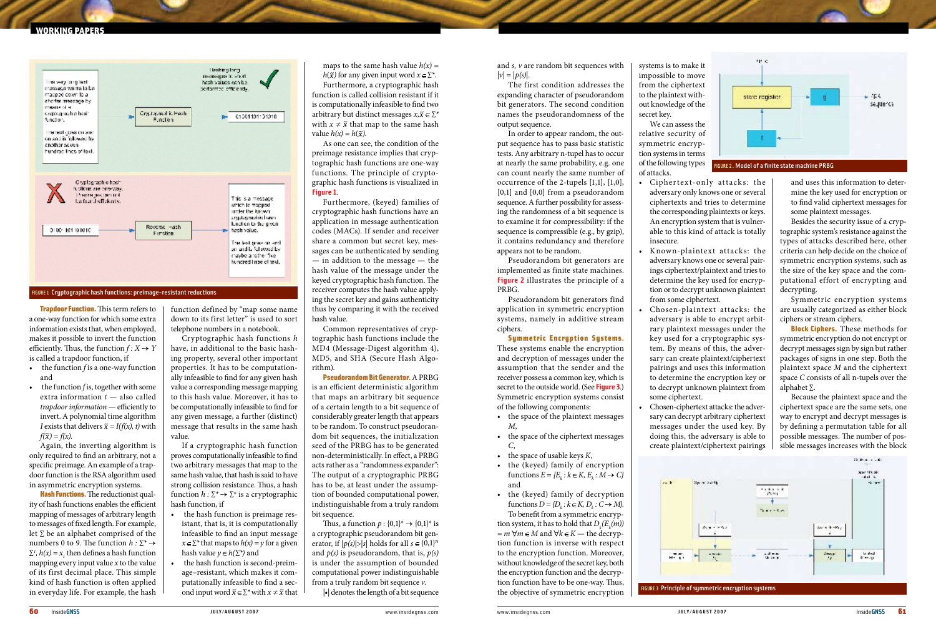**Trapdoor Function.** This term refers to a one-way function for which some extra information exists that, when employed, makes it possible to invert the function efficiently. Thus, the function  $f: X \rightarrow Y$ is called a trapdoor function, if

- • the function *f* is a one-way function and
- the function *f* is, together with some extra information *t* — also called *trapdoor information* — efficiently to invert. A polynomial time algorithm *I* exists that delivers  $\tilde{x} = I(f(x), t)$  with  $f(\widetilde{x}) = f(x)$ .

Hash Functions. The reductionist quality of hash functions enables the efficient mapping of messages of arbitrary length to messages of fixed length. For example, let ∑ be an alphabet comprised of the numbers 0 to 9. The function  $h : \Sigma^* \rightarrow$  $\Sigma^1$ ,  $h(x) = x_1$ , then defines a hash function mapping every input value *x* to the value of its first decimal place. This simple kind of hash function is often applied in everyday life. For example, the hash

Again, the inverting algorithm is only required to find an arbitrary, not a specific preimage. An example of a trapdoor function is the RSA algorithm used in asymmetric encryption systems.

function defined by "map some name down to its first letter" is used to sort telephone numbers in a notebook.

Cryptographic hash functions *h* have, in additional to the basic hashing property, several other important properties. It has to be computationally infeasible to find for any given hash value a corresponding message mapping to this hash value. Moreover, it has to be computationally infeasible to find for any given message, a further (distinct) message that results in the same hash value.

If a cryptographic hash function proves computationally infeasible to find two arbitrary messages that map to the same hash value, that hash is said to have strong collision resistance. Thus, a hash function  $h: \Sigma^* \to \Sigma^n$  is a cryptographic hash function, if

- the hash function is preimage resistant, that is, it is computationally infeasible to find an input message  $x \in \Sigma^*$  that maps to  $h(x) = y$  for a given hash value  $y \in h(\Sigma^*)$  and
- the hash function is second-preimage–resistant, which makes it computationally infeasible to find a second input word  $\widetilde{x} \in \sum^*$  with  $x \neq \widetilde{x}$  that

maps to the same hash value  $h(x) =$ *h*( $\tilde{x}$ ) for any given input word  $x \in \Sigma^*$ . Furthermore, a cryptographic hash function is called collision resistant if it is computationally infeasible to find two arbitrary but distinct messages  $x, \tilde{x} \in \Sigma^*$ with  $x \neq \tilde{x}$  that map to the same hash value  $h(x) = h(\tilde{x})$ .

Thus, a function  $p: \{0,1\}^* \rightarrow \{0,1\}^*$  is a cryptographic pseudorandom bit generator, if  $|p(s)| > |s|$  holds for all  $s \in \{0,1\}^N$ and *p(s)* is pseudorandom, that is, *p(s)* is under the assumption of bounded computational power indistinguishable from a truly random bit sequence *v*.

 $\left| \cdot \right|$  denotes the length of a bit sequence

and *s, v* are random bit sequences with  $|v| = |p(s)|$ .

As one can see, the condition of the preimage resistance implies that cryptographic hash functions are one-way functions. The principle of cryptographic hash functions is visualized in **Figure 1**.

- the space of the plaintext messages *M*,
- • the space of the ciphertext messages *C*,
- $\bullet$  the space of usable keys  $K$ ,
- the (keyed) family of encryption functions  $E = \{E_k : k \in K, E_k : M \to C\}$ and

Furthermore, (keyed) families of cryptographic hash functions have an application in message authentication codes (MACs). If sender and receiver share a common but secret key, messages can be authenticated by sending — in addition to the message — the hash value of the message under the keyed cryptographic hash function. The receiver computes the hash value applying the secret key and gains authenticity thus by comparing it with the received hash value.

Common representatives of cryptographic hash functions include the MD4 (Message-Digest algorithm 4), MD5, and SHA (Secure Hash Algorithm).

Pseudorandom Bit Generator. A PRBG is an efficient deterministic algorithm that maps an arbitrary bit sequence of a certain length to a bit sequence of considerably greater length that appears to be random. To construct pseudorandom bit sequences, the initialization seed of the PRBG has to be generated non-deterministically. In effect, a PRBG acts rather as a "randomness expander": The output of a cryptographic PRBG has to be, at least under the assumption of bounded computational power, indistinguishable from a truly random bit sequence.

- Ciphertext-only attacks: the adversary only knows one or several ciphertexts and tries to determine the corresponding plaintexts or keys. An encryption system that is vulnerable to this kind of attack is totally insecure.
- Known-plaintext attacks: the adversary knows one or several pairings ciphertext/plaintext and tries to determine the key used for encryption or to decrypt unknown plaintext from some ciphertext.
- Chosen-plaintext attacks: the adversary is able to encrypt arbitrary plaintext messages under the key used for a cryptographic system. By means of this, the adversary can create plaintext/ciphertext pairings and uses this information to determine the encryption key or to decrypt unknown plaintext from some ciphertext.
- • Chosen-ciphertext attacks: the adversary can decrypt arbitrary ciphertext messages under the used key. By doing this, the adversary is able to create plaintext/ciphertext pairings

**Block Ciphers.** These methods for symmetric encryption do not encrypt or decrypt messages sign by sign but rather packages of signs in one step. Both the plaintext space *M* and the ciphertext space *C* consists of all n-tupels over the alphabet ∑.

The first condition addresses the expanding character of pseudorandom bit generators. The second condition names the pseudorandomness of the output sequence.

In order to appear random, the output sequence has to pass basic statistic tests. Any arbitrary n-tupel has to occur at nearly the same probability, e.g. one can count nearly the same number of occurrence of the 2-tupels [1,1], [1,0], [0,1] and [0,0] from a pseudorandom sequence. A further possibility for assessing the randomness of a bit sequence is to examine it for compressibility: if the sequence is compressible (e.g., by gzip), it contains redundancy and therefore appears not to be random.

Pseudorandom bit generators are implemented as finite state machines. **Figure 2** illustrates the principle of a PRBG.

Pseudorandom bit generators find application in symmetric encryption systems, namely in additive stream ciphers.

## Symmetric Encryption Systems.

These systems enable the encryption and decryption of messages under the assumption that the sender and the receiver possess a common key, which is secret to the outside world. (See **Figure 3**.) Symmetric encryption systems consist of the following components:

• the (keyed) family of decryption functions  $D = \{D_k : k \in K, D_k : C \to M\}.$ To benefit from a symmetric encryption system, it has to hold that  $D_k(E_k(m))$  $= m \forall m \in M$  and  $\forall k \in K$  — the decryption function is inverse with respect to the encryption function. Moreover, without knowledge of the secret key, both the encryption function and the decryption function have to be one-way. Thus, the objective of symmetric encryption systems is to make it impossible to move from the ciphertext to the plaintext without knowledge of the secret key.

We can assess the relative security of symmetric encryption systems in terms of the following types of attacks.

> and uses this information to determine the key used for encryption or to find valid ciphertext messages for some plaintext messages.

Besides the security issue of a cryptographic system's resistance against the types of attacks described here, other criteria can help decide on the choice of symmetric encryption systems, such as the size of the key space and the computational effort of encrypting and decrypting.

Symmetric encryption systems are usually categorized as either block ciphers or stream ciphers.

Because the plaintext space and the ciphertext space are the same sets, one way to encrypt and decrypt messages is by defining a permutation table for all possible messages. The number of possible messages increases with the block

## **MORKING PAPER**



FIGURE 1 Cryptographic hash functions: preimage-resistant reductions

FIGURE 2 . Model of a finite state machine PRBG